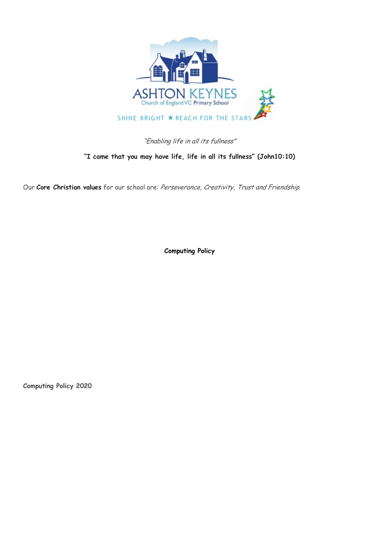

# "Enabling life in all its fullness"

# **"I came that you may have life, life in all its fullness" (John10:10)**

Our **Core Christian values** for our school are: Perseverance, Creativity, Trust and Friendship.

**Computing Policy**

**Computing Policy 2020**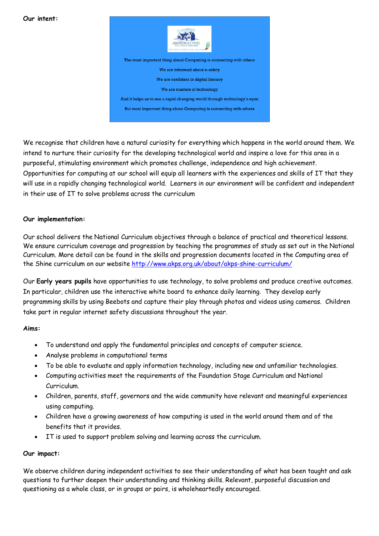#### **Our intent:**



But most important thing about Computing is connecting with others

We recognise that children have a natural curiosity for everything which happens in the world around them. We intend to nurture their curiosity for the developing technological world and inspire a love for this area in a purposeful, stimulating environment which promotes challenge, independence and high achievement. Opportunities for computing at our school will equip all learners with the experiences and skills of IT that they will use in a rapidly changing technological world. Learners in our environment will be confident and independent in their use of IT to solve problems across the curriculum

### **Our implementation:**

Our school delivers the National Curriculum objectives through a balance of practical and theoretical lessons. We ensure curriculum coverage and progression by teaching the programmes of study as set out in the National Curriculum. More detail can be found in the skills and progression documents located in the Computing area of the Shine curriculum on our website http://www.akps.org.uk/about/akps-shine-curriculum/

Our **Early years pupils** have opportunities to use technology, to solve problems and produce creative outcomes. In particular, children use the interactive white board to enhance daily learning. They develop early programming skills by using Beebots and capture their play through photos and videos using cameras. Children take part in regular internet safety discussions throughout the year.

#### **Aims:**

- To understand and apply the fundamental principles and concepts of computer science.
- Analyse problems in computational terms
- To be able to evaluate and apply information technology, including new and unfamiliar technologies.
- Computing activities meet the requirements of the Foundation Stage Curriculum and National Curriculum.
- Children, parents, staff, governors and the wide community have relevant and meaningful experiences using computing.
- Children have a growing awareness of how computing is used in the world around them and of the benefits that it provides.
- IT is used to support problem solving and learning across the curriculum.

# **Our impact:**

We observe children during independent activities to see their understanding of what has been taught and ask questions to further deepen their understanding and thinking skills. Relevant, purposeful discussion and questioning as a whole class, or in groups or pairs, is wholeheartedly encouraged.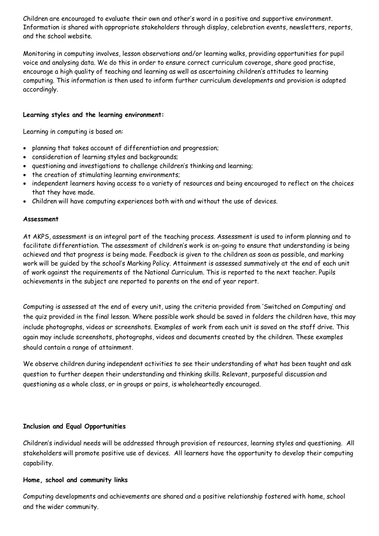Children are encouraged to evaluate their own and other's word in a positive and supportive environment. Information is shared with appropriate stakeholders through display, celebration events, newsletters, reports, and the school website.

Monitoring in computing involves, lesson observations and/or learning walks, providing opportunities for pupil voice and analysing data. We do this in order to ensure correct curriculum coverage, share good practise, encourage a high quality of teaching and learning as well as ascertaining children's attitudes to learning computing. This information is then used to inform further curriculum developments and provision is adapted accordingly.

# **Learning styles and the learning environment:**

Learning in computing is based on:

- planning that takes account of differentiation and progression;
- consideration of learning styles and backgrounds;
- questioning and investigations to challenge children's thinking and learning;
- the creation of stimulating learning environments;
- independent learners having access to a variety of resources and being encouraged to reflect on the choices that they have made.
- Children will have computing experiences both with and without the use of devices.

#### **Assessment**

At AKPS, assessment is an integral part of the teaching process. Assessment is used to inform planning and to facilitate differentiation. The assessment of children's work is on-going to ensure that understanding is being achieved and that progress is being made. Feedback is given to the children as soon as possible, and marking work will be guided by the school's Marking Policy. Attainment is assessed summatively at the end of each unit of work against the requirements of the National Curriculum. This is reported to the next teacher. Pupils achievements in the subject are reported to parents on the end of year report.

Computing is assessed at the end of every unit, using the criteria provided from 'Switched on Computing' and the quiz provided in the final lesson. Where possible work should be saved in folders the children have, this may include photographs, videos or screenshots. Examples of work from each unit is saved on the staff drive. This again may include screenshots, photographs, videos and documents created by the children. These examples should contain a range of attainment.

We observe children during independent activities to see their understanding of what has been taught and ask question to further deepen their understanding and thinking skills. Relevant, purposeful discussion and questioning as a whole class, or in groups or pairs, is wholeheartedly encouraged.

#### **Inclusion and Equal Opportunities**

Children's individual needs will be addressed through provision of resources, learning styles and questioning. All stakeholders will promote positive use of devices. All learners have the opportunity to develop their computing capability.

#### **Home, school and community links**

Computing developments and achievements are shared and a positive relationship fostered with home, school and the wider community.